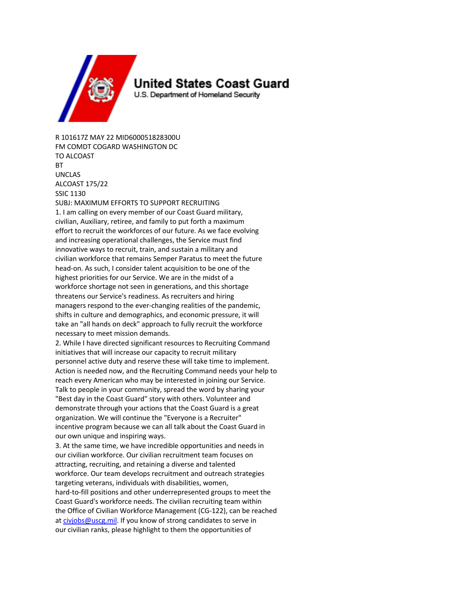

## United States Coast Guard

U.S. Department of Homeland Security

R 101617Z MAY 22 MID600051828300U FM COMDT COGARD WASHINGTON DC TO ALCOAST **RT** UNCLAS ALCOAST 175/22 SSIC 1130 SUBJ: MAXIMUM EFFORTS TO SUPPORT RECRUITING 1. I am calling on every member of our Coast Guard military,

civilian, Auxiliary, retiree, and family to put forth a maximum effort to recruit the workforces of our future. As we face evolving and increasing operational challenges, the Service must find innovative ways to recruit, train, and sustain a military and civilian workforce that remains Semper Paratus to meet the future head-on. As such, I consider talent acquisition to be one of the highest priorities for our Service. We are in the midst of a workforce shortage not seen in generations, and this shortage threatens our Service's readiness. As recruiters and hiring managers respond to the ever-changing realities of the pandemic, shifts in culture and demographics, and economic pressure, it will take an "all hands on deck" approach to fully recruit the workforce necessary to meet mission demands.

2. While I have directed significant resources to Recruiting Command initiatives that will increase our capacity to recruit military personnel active duty and reserve these will take time to implement. Action is needed now, and the Recruiting Command needs your help to reach every American who may be interested in joining our Service. Talk to people in your community, spread the word by sharing your "Best day in the Coast Guard" story with others. Volunteer and demonstrate through your actions that the Coast Guard is a great organization. We will continue the "Everyone is a Recruiter" incentive program because we can all talk about the Coast Guard in our own unique and inspiring ways.

3. At the same time, we have incredible opportunities and needs in our civilian workforce. Our civilian recruitment team focuses on attracting, recruiting, and retaining a diverse and talented workforce. Our team develops recruitment and outreach strategies targeting veterans, individuals with disabilities, women, hard-to-fill positions and other underrepresented groups to meet the Coast Guard's workforce needs. The civilian recruiting team within the Office of Civilian Workforce Management (CG-122), can be reached at civjobs@uscg.mil. If you know of strong candidates to serve in our civilian ranks, please highlight to them the opportunities of